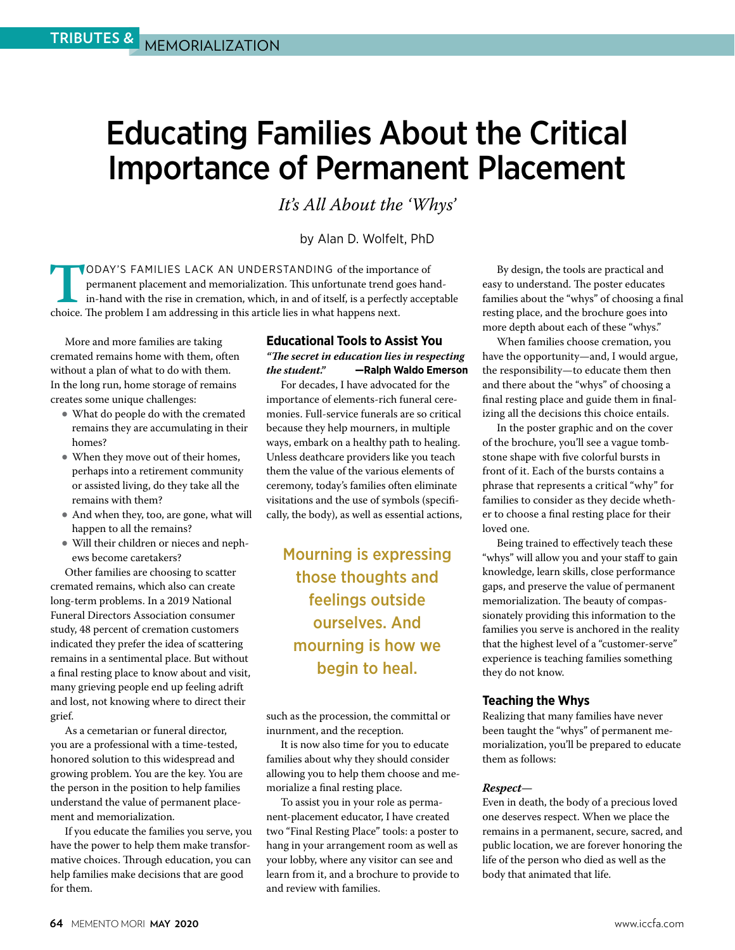# Educating Families About the Critical Importance of Permanent Placement

*It's All About the 'Whys'* 

by Alan D. Wolfelt, PhD

**TODAY'S FAMILIES LACK AN UNDERSTANDING of the importance of permanent placement and memorialization. This unfortunate trend goes har in-hand with the rise in cremation, which, in and of itself, is a perfectly acceptioide.** permanent placement and memorialization. This unfortunate trend goes handin-hand with the rise in cremation, which, in and of itself, is a perfectly acceptable choice. The problem I am addressing in this article lies in what happens next.

More and more families are taking cremated remains home with them, often without a plan of what to do with them. In the long run, home storage of remains creates some unique challenges:

- What do people do with the cremated remains they are accumulating in their homes?
- When they move out of their homes, perhaps into a retirement community or assisted living, do they take all the remains with them?
- And when they, too, are gone, what will happen to all the remains?
- Will their children or nieces and nephews become caretakers?

Other families are choosing to scatter cremated remains, which also can create long-term problems. In a 2019 National Funeral Directors Association consumer study, 48 percent of cremation customers indicated they prefer the idea of scattering remains in a sentimental place. But without a final resting place to know about and visit, many grieving people end up feeling adrift and lost, not knowing where to direct their grief.

As a cemetarian or funeral director, you are a professional with a time-tested, honored solution to this widespread and growing problem. You are the key. You are the person in the position to help families understand the value of permanent placement and memorialization.

If you educate the families you serve, you have the power to help them make transformative choices. Through education, you can help families make decisions that are good for them.

# **Educational Tools to Assist You** *"The secret in education lies in respecting the student."* **—Ralph Waldo Emerson**

For decades, I have advocated for the importance of elements-rich funeral ceremonies. Full-service funerals are so critical because they help mourners, in multiple ways, embark on a healthy path to healing. Unless deathcare providers like you teach them the value of the various elements of ceremony, today's families often eliminate visitations and the use of symbols (specifically, the body), as well as essential actions,

Mourning is expressing those thoughts and feelings outside ourselves. And mourning is how we begin to heal.

such as the procession, the committal or inurnment, and the reception.

It is now also time for you to educate families about why they should consider allowing you to help them choose and memorialize a final resting place.

To assist you in your role as permanent-placement educator, I have created two "Final Resting Place" tools: a poster to hang in your arrangement room as well as your lobby, where any visitor can see and learn from it, and a brochure to provide to and review with families.

By design, the tools are practical and easy to understand. The poster educates families about the "whys" of choosing a final resting place, and the brochure goes into more depth about each of these "whys."

When families choose cremation, you have the opportunity—and, I would argue, the responsibility—to educate them then and there about the "whys" of choosing a final resting place and guide them in finalizing all the decisions this choice entails.

In the poster graphic and on the cover of the brochure, you'll see a vague tombstone shape with five colorful bursts in front of it. Each of the bursts contains a phrase that represents a critical "why" for families to consider as they decide whether to choose a final resting place for their loved one.

Being trained to effectively teach these "whys" will allow you and your staff to gain knowledge, learn skills, close performance gaps, and preserve the value of permanent memorialization. The beauty of compassionately providing this information to the families you serve is anchored in the reality that the highest level of a "customer-serve" experience is teaching families something they do not know.

# **Teaching the Whys**

Realizing that many families have never been taught the "whys" of permanent memorialization, you'll be prepared to educate them as follows:

### *Respect—*

Even in death, the body of a precious loved one deserves respect. When we place the remains in a permanent, secure, sacred, and public location, we are forever honoring the life of the person who died as well as the body that animated that life.